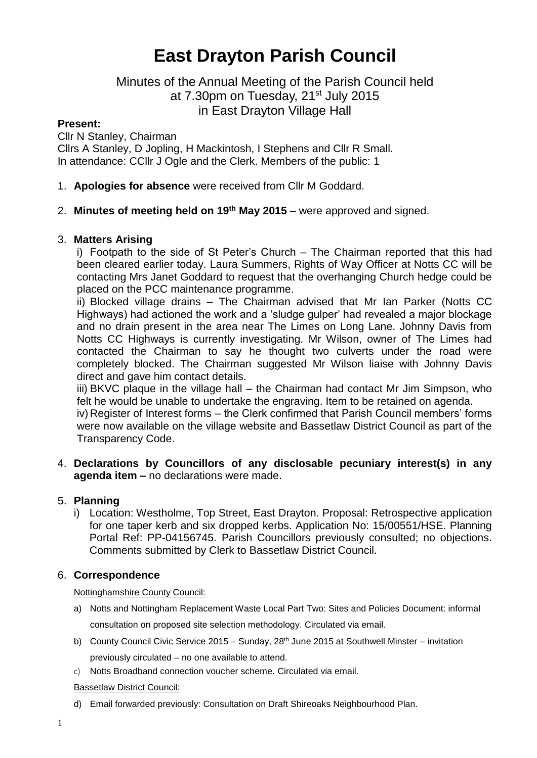# **East Drayton Parish Council**

# Minutes of the Annual Meeting of the Parish Council held at 7.30pm on Tuesday, 21<sup>st</sup> July 2015 in East Drayton Village Hall

# **Present:**

Cllr N Stanley, Chairman Cllrs A Stanley, D Jopling, H Mackintosh, I Stephens and Cllr R Small. In attendance: CCllr J Ogle and the Clerk. Members of the public: 1

- 1. **Apologies for absence** were received from Cllr M Goddard.
- 2. **Minutes of meeting held on 19th May 2015** were approved and signed.

# 3. **Matters Arising**

i) Footpath to the side of St Peter's Church – The Chairman reported that this had been cleared earlier today. Laura Summers, Rights of Way Officer at Notts CC will be contacting Mrs Janet Goddard to request that the overhanging Church hedge could be placed on the PCC maintenance programme.

ii) Blocked village drains – The Chairman advised that Mr Ian Parker (Notts CC Highways) had actioned the work and a 'sludge gulper' had revealed a major blockage and no drain present in the area near The Limes on Long Lane. Johnny Davis from Notts CC Highways is currently investigating. Mr Wilson, owner of The Limes had contacted the Chairman to say he thought two culverts under the road were completely blocked. The Chairman suggested Mr Wilson liaise with Johnny Davis direct and gave him contact details.

iii) BKVC plaque in the village hall – the Chairman had contact Mr Jim Simpson, who felt he would be unable to undertake the engraving. Item to be retained on agenda.

iv) Register of Interest forms – the Clerk confirmed that Parish Council members' forms were now available on the village website and Bassetlaw District Council as part of the Transparency Code.

# 4. **Declarations by Councillors of any disclosable pecuniary interest(s) in any agenda item –** no declarations were made.

# 5. **Planning**

i) Location: Westholme, Top Street, East Drayton. Proposal: Retrospective application for one taper kerb and six dropped kerbs. Application No: 15/00551/HSE. Planning Portal Ref: PP-04156745. Parish Councillors previously consulted; no objections. Comments submitted by Clerk to Bassetlaw District Council.

# 6. **Correspondence**

Nottinghamshire County Council:

- a) Notts and Nottingham Replacement Waste Local Part Two: Sites and Policies Document: informal consultation on proposed site selection methodology. Circulated via email.
- b) County Council Civic Service 2015 Sunday, 28<sup>th</sup> June 2015 at Southwell Minster invitation previously circulated – no one available to attend.
- c) Notts Broadband connection voucher scheme. Circulated via email.

Bassetlaw District Council:

d) Email forwarded previously: Consultation on Draft Shireoaks Neighbourhood Plan.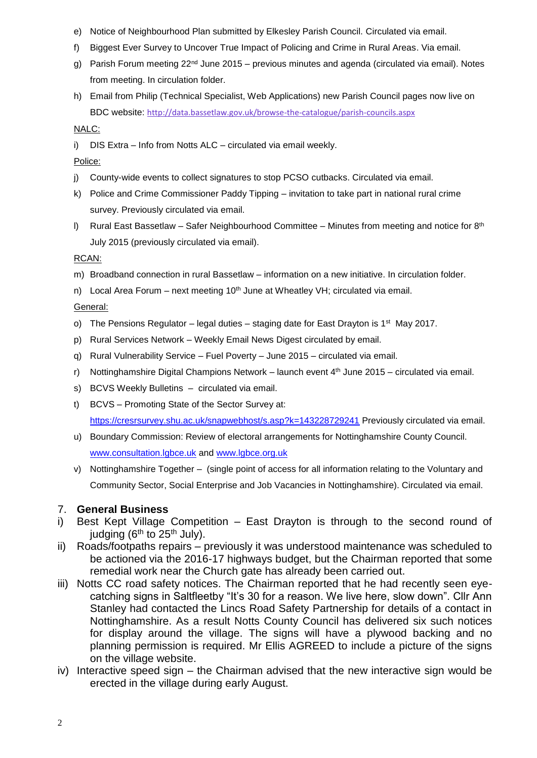- e) Notice of Neighbourhood Plan submitted by Elkesley Parish Council. Circulated via email.
- f) Biggest Ever Survey to Uncover True Impact of Policing and Crime in Rural Areas. Via email.
- g) Parish Forum meeting  $22^{nd}$  June 2015 previous minutes and agenda (circulated via email). Notes from meeting. In circulation folder.
- h) Email from Philip (Technical Specialist, Web Applications) new Parish Council pages now live on BDC website: <http://data.bassetlaw.gov.uk/browse-the-catalogue/parish-councils.aspx>

NALC:

- i) DIS Extra Info from Notts ALC circulated via email weekly.
- Police:
- j) County-wide events to collect signatures to stop PCSO cutbacks. Circulated via email.
- k) Police and Crime Commissioner Paddy Tipping invitation to take part in national rural crime survey. Previously circulated via email.
- I) Rural East Bassetlaw Safer Neighbourhood Committee Minutes from meeting and notice for  $8<sup>th</sup>$ July 2015 (previously circulated via email).

RCAN:

- m) Broadband connection in rural Bassetlaw information on a new initiative. In circulation folder.
- n) Local Area Forum next meeting  $10<sup>th</sup>$  June at Wheatley VH; circulated via email.

General:

- o) The Pensions Regulator legal duties staging date for East Drayton is 1<sup>st</sup> May 2017.
- p) Rural Services Network Weekly Email News Digest circulated by email.
- q) Rural Vulnerability Service Fuel Poverty June 2015 circulated via email.
- r) Nottinghamshire Digital Champions Network launch event  $4<sup>th</sup>$  June 2015 circulated via email.
- s) BCVS Weekly Bulletins circulated via email.
- t) BCVS Promoting State of the Sector Survey at: <https://cresrsurvey.shu.ac.uk/snapwebhost/s.asp?k=143228729241> Previously circulated via email.
- u) Boundary Commission: Review of electoral arrangements for Nottinghamshire County Council. [www.consultation.lgbce.uk](http://www.consultation.lgbce.uk/) and [www.lgbce.org.uk](http://www.lgbce.org.uk/)
- v) Nottinghamshire Together (single point of access for all information relating to the Voluntary and Community Sector, Social Enterprise and Job Vacancies in Nottinghamshire). Circulated via email.

# 7. **General Business**

- i) Best Kept Village Competition East Drayton is through to the second round of judging ( $6<sup>th</sup>$  to  $25<sup>th</sup>$  July).
- ii) Roads/footpaths repairs previously it was understood maintenance was scheduled to be actioned via the 2016-17 highways budget, but the Chairman reported that some remedial work near the Church gate has already been carried out.
- iii) Notts CC road safety notices. The Chairman reported that he had recently seen eyecatching signs in Saltfleetby "It's 30 for a reason. We live here, slow down". Cllr Ann Stanley had contacted the Lincs Road Safety Partnership for details of a contact in Nottinghamshire. As a result Notts County Council has delivered six such notices for display around the village. The signs will have a plywood backing and no planning permission is required. Mr Ellis AGREED to include a picture of the signs on the village website.
- iv) Interactive speed sign the Chairman advised that the new interactive sign would be erected in the village during early August.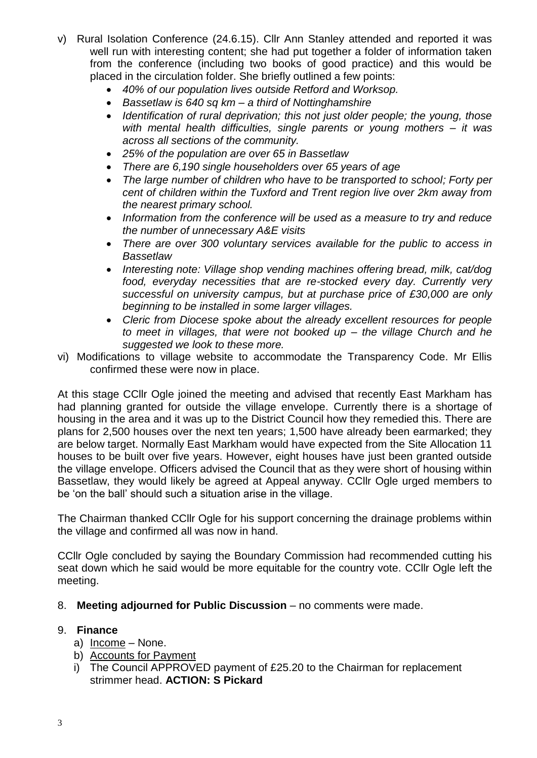- v) Rural Isolation Conference (24.6.15). Cllr Ann Stanley attended and reported it was well run with interesting content; she had put together a folder of information taken from the conference (including two books of good practice) and this would be placed in the circulation folder. She briefly outlined a few points:
	- *40% of our population lives outside Retford and Worksop.*
	- *Bassetlaw is 640 sq km – a third of Nottinghamshire*
	- *Identification of rural deprivation; this not just older people; the young, those with mental health difficulties, single parents or young mothers – it was across all sections of the community.*
	- *25% of the population are over 65 in Bassetlaw*
	- *There are 6,190 single householders over 65 years of age*
	- *The large number of children who have to be transported to school; Forty per cent of children within the Tuxford and Trent region live over 2km away from the nearest primary school.*
	- *Information from the conference will be used as a measure to try and reduce the number of unnecessary A&E visits*
	- *There are over 300 voluntary services available for the public to access in Bassetlaw*
	- *Interesting note: Village shop vending machines offering bread, milk, cat/dog food, everyday necessities that are re-stocked every day. Currently very successful on university campus, but at purchase price of £30,000 are only beginning to be installed in some larger villages.*
	- *Cleric from Diocese spoke about the already excellent resources for people to meet in villages, that were not booked up – the village Church and he suggested we look to these more.*
- vi) Modifications to village website to accommodate the Transparency Code. Mr Ellis confirmed these were now in place.

At this stage CCllr Ogle joined the meeting and advised that recently East Markham has had planning granted for outside the village envelope. Currently there is a shortage of housing in the area and it was up to the District Council how they remedied this. There are plans for 2,500 houses over the next ten years; 1,500 have already been earmarked; they are below target. Normally East Markham would have expected from the Site Allocation 11 houses to be built over five years. However, eight houses have just been granted outside the village envelope. Officers advised the Council that as they were short of housing within Bassetlaw, they would likely be agreed at Appeal anyway. CCllr Ogle urged members to be 'on the ball' should such a situation arise in the village.

The Chairman thanked CCllr Ogle for his support concerning the drainage problems within the village and confirmed all was now in hand.

CCllr Ogle concluded by saying the Boundary Commission had recommended cutting his seat down which he said would be more equitable for the country vote. CCllr Ogle left the meeting.

8. **Meeting adjourned for Public Discussion** – no comments were made.

# 9. **Finance**

- a) Income None.
- b) Accounts for Payment
- i) The Council APPROVED payment of £25.20 to the Chairman for replacement strimmer head. **ACTION: S Pickard**